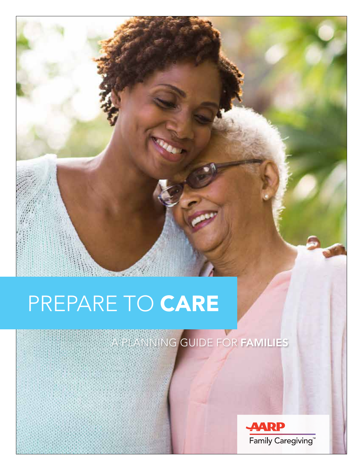# PREPARE TO CARE

A PLANNING GUIDE FOR FAMILIES

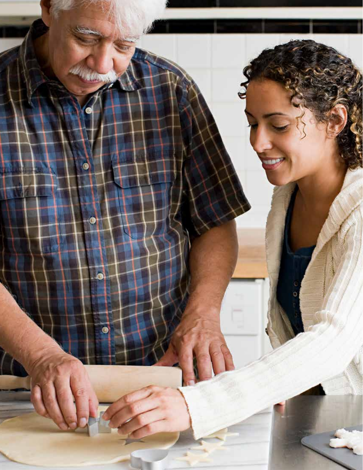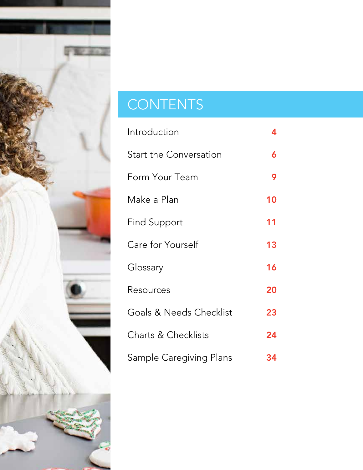

## **CONTENTS**

| Introduction                       | 4  |
|------------------------------------|----|
| <b>Start the Conversation</b>      | 6  |
| Form Your Team                     | 9  |
| Make a Plan                        | 10 |
| <b>Find Support</b>                | 11 |
| Care for Yourself                  | 13 |
| Glossary                           | 16 |
| Resources                          | 20 |
| <b>Goals &amp; Needs Checklist</b> | 23 |
| <b>Charts &amp; Checklists</b>     | 24 |
| Sample Caregiving Plans            | 34 |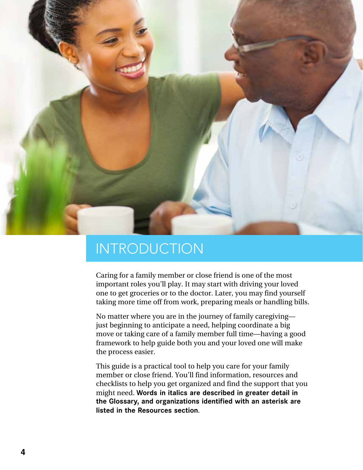<span id="page-3-0"></span>

## INTRODUCTION

Caring for a family member or close friend is one of the most important roles you'll play. It may start with driving your loved one to get groceries or to the doctor. Later, you may find yourself taking more time off from work, preparing meals or handling bills.

No matter where you are in the journey of family caregiving just beginning to anticipate a need, helping coordinate a big move or taking care of a family member full time—having a good framework to help guide both you and your loved one will make the process easier.

This guide is a practical tool to help you care for your family member or close friend. You'll find information, resources and checklists to help you get organized and find the support that you might need. **Words in italics are described in greater detail in the Glossary, and organizations identified with an asterisk are listed in the Resources section**.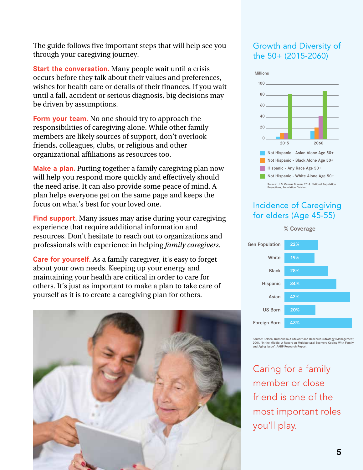The guide follows five important steps that will help see you through your caregiving journey.

**Start the conversation.** Many people wait until a crisis occurs before they talk about their values and preferences, wishes for health care or details of their finances. If you wait until a fall, accident or serious diagnosis, big decisions may be driven by assumptions.

**Form your team.** No one should try to approach the responsibilities of caregiving alone. While other family members are likely sources of support, don't overlook friends, colleagues, clubs, or religious and other organizational affiliations as resources too.

**Make a plan.** Putting together a family caregiving plan now will help you respond more quickly and effectively should the need arise. It can also provide some peace of mind. A plan helps everyone get on the same page and keeps the focus on what's best for your loved one.

**Find support.** Many issues may arise during your caregiving experience that require additional information and resources. Don't hesitate to reach out to organizations and professionals with experience in helping *family caregivers*.

**Care for yourself.** As a family caregiver, it's easy to forget about your own needs. Keeping up your energy and maintaining your health are critical in order to care for others. It's just as important to make a plan to take care of yourself as it is to create a caregiving plan for others.



### Growth and Diversity of the 50+ (2015-2060)



### Incidence of Caregiving for elders (Age 45-55)



Source: Belden, Russonello & Stewart and Research/Strategy/Management,<br>2001. "In the Middle: A Report on Multicultural Boomers Coning With Family 2001. "In the Middle: A Report on Multicultural Boomers Coping With Family and Aging Issue". AARP Research Report.

Caring for a family member or close friend is one of the most important roles you'll play.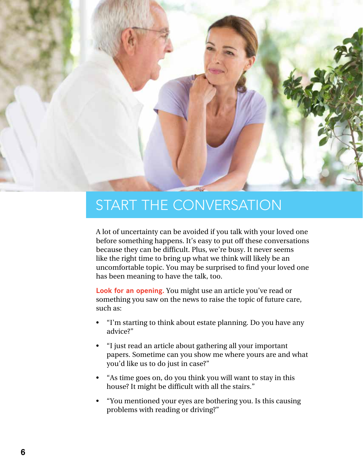<span id="page-5-0"></span>

## START THE CONVERSATION

A lot of uncertainty can be avoided if you talk with your loved one before something happens. It's easy to put off these conversations because they can be difficult. Plus, we're busy. It never seems like the right time to bring up what we think will likely be an uncomfortable topic. You may be surprised to find your loved one has been meaning to have the talk, too.

**Look for an opening.** You might use an article you've read or something you saw on the news to raise the topic of future care, such as:

- "I'm starting to think about estate planning. Do you have any advice?"
- "I just read an article about gathering all your important papers. Sometime can you show me where yours are and what you'd like us to do just in case?"
- "As time goes on, do you think you will want to stay in this house? It might be difficult with all the stairs."
- "You mentioned your eyes are bothering you. Is this causing problems with reading or driving?"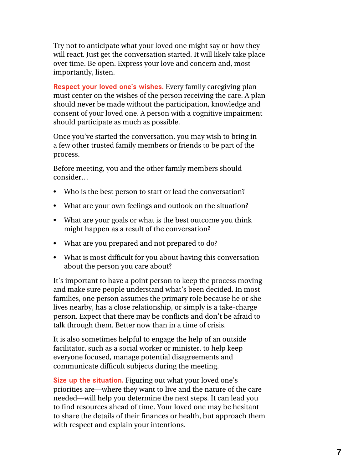Try not to anticipate what your loved one might say or how they will react. Just get the conversation started. It will likely take place over time. Be open. Express your love and concern and, most importantly, listen.

**Respect your loved one's wishes.** Every family caregiving plan must center on the wishes of the person receiving the care. A plan should never be made without the participation, knowledge and consent of your loved one. A person with a cognitive impairment should participate as much as possible.

Once you've started the conversation, you may wish to bring in a few other trusted family members or friends to be part of the process.

Before meeting, you and the other family members should consider…

- Who is the best person to start or lead the conversation?
- What are your own feelings and outlook on the situation?
- What are your goals or what is the best outcome you think might happen as a result of the conversation?
- What are you prepared and not prepared to do?
- What is most difficult for you about having this conversation about the person you care about?

It's important to have a point person to keep the process moving and make sure people understand what's been decided. In most families, one person assumes the primary role because he or she lives nearby, has a close relationship, or simply is a take-charge person. Expect that there may be conflicts and don't be afraid to talk through them. Better now than in a time of crisis.

It is also sometimes helpful to engage the help of an outside facilitator, such as a social worker or minister, to help keep everyone focused, manage potential disagreements and communicate difficult subjects during the meeting.

**Size up the situation.** Figuring out what your loved one's priorities are—where they want to live and the nature of the care needed—will help you determine the next steps. It can lead you to find resources ahead of time. Your loved one may be hesitant to share the details of their finances or health, but approach them with respect and explain your intentions.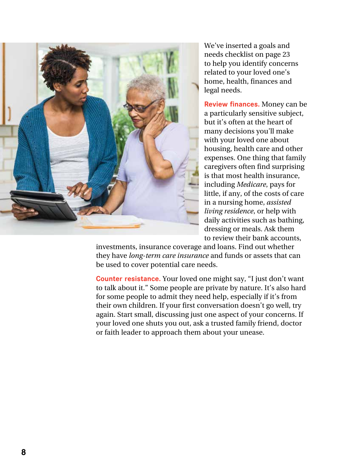

We've inserted a goals and needs checklist on [page 2](#page-18-0)3 to help you identify concerns related to your loved one's home, health, finances and legal needs.

**Review finances.** Money can be a particularly sensitive subject, but it's often at the heart of many decisions you'll make with your loved one about housing, health care and other expenses. One thing that family caregivers often find surprising is that most health insurance, including *Medicare*, pays for little, if any, of the costs of care in a nursing home, *assisted living residence*, or help with daily activities such as bathing, dressing or meals. Ask them to review their bank accounts,

investments, insurance coverage and loans. Find out whether they have *long-term care insurance* and funds or assets that can be used to cover potential care needs.

**Counter resistance.** Your loved one might say, "I just don't want to talk about it." Some people are private by nature. It's also hard for some people to admit they need help, especially if it's from their own children. If your first conversation doesn't go well, try again. Start small, discussing just one aspect of your concerns. If your loved one shuts you out, ask a trusted family friend, doctor or faith leader to approach them about your unease.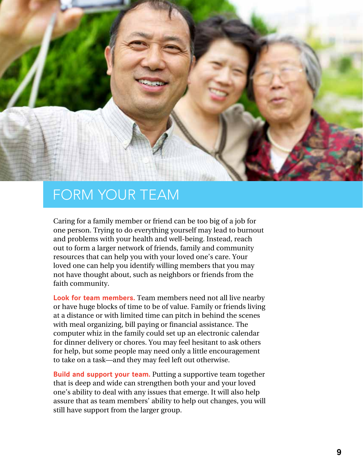<span id="page-8-0"></span>

## FORM YOUR TEAM

Caring for a family member or friend can be too big of a job for one person. Trying to do everything yourself may lead to burnout and problems with your health and well-being. Instead, reach out to form a larger network of friends, family and community resources that can help you with your loved one's care. Your loved one can help you identify willing members that you may not have thought about, such as neighbors or friends from the faith community.

**Look for team members.** Team members need not all live nearby or have huge blocks of time to be of value. Family or friends living at a distance or with limited time can pitch in behind the scenes with meal organizing, bill paying or financial assistance. The computer whiz in the family could set up an electronic calendar for dinner delivery or chores. You may feel hesitant to ask others for help, but some people may need only a little encouragement to take on a task—and they may feel left out otherwise.

**Build and support your team.** Putting a supportive team together that is deep and wide can strengthen both your and your loved one's ability to deal with any issues that emerge. It will also help assure that as team members' ability to help out changes, you will still have support from the larger group.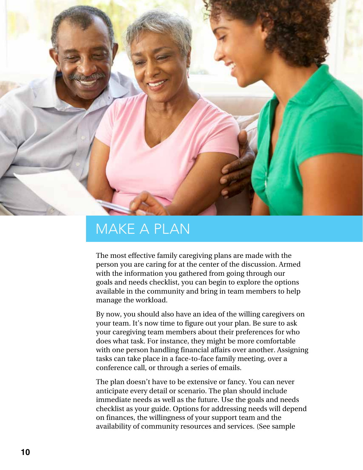<span id="page-9-0"></span>

## MAKE A PLAN

The most effective family caregiving plans are made with the person you are caring for at the center of the discussion. Armed with the information you gathered from going through our goals and needs checklist, you can begin to explore the options available in the community and bring in team members to help manage the workload.

By now, you should also have an idea of the willing caregivers on your team. It's now time to figure out your plan. Be sure to ask your caregiving team members about their preferences for who does what task. For instance, they might be more comfortable with one person handling financial affairs over another. Assigning tasks can take place in a face-to-face family meeting, over a conference call, or through a series of emails.

The plan doesn't have to be extensive or fancy. You can never anticipate every detail or scenario. The plan should include immediate needs as well as the future. Use the goals and needs checklist as your guide. Options for addressing needs will depend on finances, the willingness of your support team and the availability of community resources and services. (See sample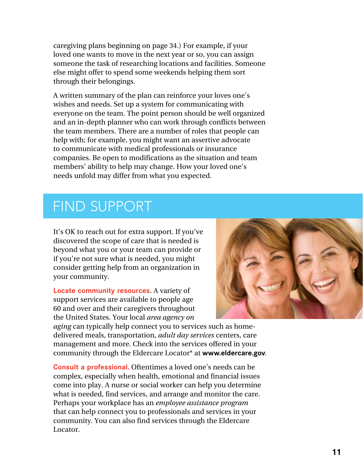<span id="page-10-0"></span>caregiving plans beginning on page 34.) For example, if your loved one wants to move in the next year or so, you can assign someone the task of researching locations and facilities. Someone else might offer to spend some weekends helping them sort through their belongings.

A written summary of the plan can reinforce your loves one's wishes and needs. Set up a system for communicating with everyone on the team. The point person should be well organized and an in-depth planner who can work through conflicts between the team members. There are a number of roles that people can help with; for example, you might want an assertive advocate to communicate with medical professionals or insurance companies. Be open to modifications as the situation and team members' ability to help may change. How your loved one's needs unfold may differ from what you expected.

## FIND SUPPORT

It's OK to reach out for extra support. If you've discovered the scope of care that is needed is beyond what you or your team can provide or if you're not sure what is needed, you might consider getting help from an organization in your community.

**Locate community resources**. A variety of support services are available to people age 60 and over and their caregivers throughout the United States. Your local *area agency on* 



*aging* can typically help connect you to services such as homedelivered meals, transportation, *adult day services* centers, care management and more. Check into the services offered in your community through the Eldercare Locator\* at **[www.eldercare.gov](http://www.eldercare.gov)**.

**Consult a professional.** Oftentimes a loved one's needs can be complex, especially when health, emotional and financial issues come into play. A nurse or social worker can help you determine what is needed, find services, and arrange and monitor the care. Perhaps your workplace has an *employee assistance program* that can help connect you to professionals and services in your community. You can also find services through the Eldercare Locator.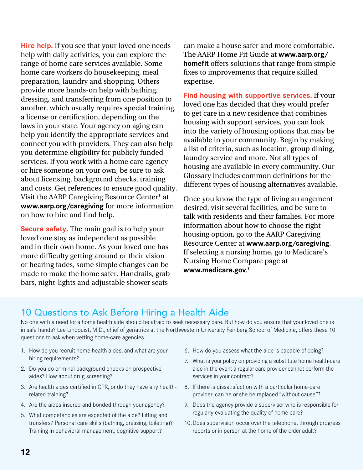**Hire help.** If you see that your loved one needs help with daily activities, you can explore the range of home care services available. Some home care workers do housekeeping, meal preparation, laundry and shopping. Others provide more hands-on help with bathing, dressing, and transferring from one position to another, which usually requires special training, a license or certification, depending on the laws in your state. Your agency on aging can help you identify the appropriate services and connect you with providers. They can also help you determine eligibility for publicly funded services. If you work with a home care agency or hire someone on your own, be sure to ask about licensing, background checks, training and costs. Get references to ensure good quality. Visit the AARP Caregiving Resource Center\* at **[www.aarp.org/caregiving](http://www.aarp.org/caregiving)** for more information on how to hire and find help.

**Secure safety.** The main goal is to help your loved one stay as independent as possible and in their own home. As your loved one has more difficulty getting around or their vision or hearing fades, some simple changes can be made to make the home safer. Handrails, grab bars, night-lights and adjustable shower seats

can make a house safer and more comfortable. The AARP Home Fit Guide at **[www.aarp.org/](http://www.aarp.org/homefit) [homefit](http://www.aarp.org/homefit)** offers solutions that range from simple fixes to improvements that require skilled expertise.

**Find housing with supportive services.** If your loved one has decided that they would prefer to get care in a new residence that combines housing with support services, you can look into the variety of housing options that may be available in your community. Begin by making a list of criteria, such as location, group dining, laundry service and more. Not all types of housing are available in every community. Our Glossary includes common definitions for the different types of housing alternatives available.

Once you know the type of living arrangement desired, visit several facilities, and be sure to talk with residents and their families. For more information about how to choose the right housing option, go to the AARP Caregiving Resource Center at **[www.aarp.org/caregiving](http://www.aarp.org/caregiving)**. If selecting a nursing home, go to Medicare's Nursing Home Compare page at **[www.medicare.gov](http://www.medicare.gov)**.\*

### 10 Questions to Ask Before Hiring a Health Aide

No one with a need for a home health aide should be afraid to seek necessary care. But how do you ensure that your loved one is in safe hands? Lee Lindquist, M.D., chief of geriatrics at the Northwestern University Feinberg School of Medicine, offers these 10 questions to ask when vetting home-care agencies.

- 1. How do you recruit home health aides, and what are your hiring requirements?
- 2. Do you do criminal background checks on prospective aides? How about drug screening?
- 3. Are health aides certified in CPR, or do they have any healthrelated training?
- 4. Are the aides insured and bonded through your agency?
- 5. What competencies are expected of the aide? Lifting and transfers? Personal care skills (bathing, dressing, toileting)? Training in behavioral management, cognitive support?
- 6. How do you assess what the aide is capable of doing?
- 7. What is your policy on providing a substitute home health-care aide in the event a regular care provider cannot perform the services in your contract?
- 8. If there is dissatisfaction with a particular home-care provider, can he or she be replaced "without cause"?
- 9. Does the agency provide a supervisor who is responsible for regularly evaluating the quality of home care?
- 10. Does supervision occur over the telephone, through progress reports or in person at the home of the older adult?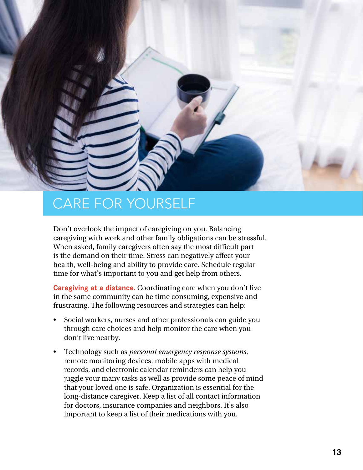<span id="page-12-0"></span>

## CARE FOR YOURSELF

Don't overlook the impact of caregiving on you. Balancing caregiving with work and other family obligations can be stressful. When asked, family caregivers often say the most difficult part is the demand on their time. Stress can negatively affect your health, well-being and ability to provide care. Schedule regular time for what's important to you and get help from others.

**Caregiving at a distance.** Coordinating care when you don't live in the same community can be time consuming, expensive and frustrating. The following resources and strategies can help:

- Social workers, nurses and other professionals can guide you through care choices and help monitor the care when you don't live nearby.
- Technology such as *[personal emergency response systems](#page-18-0)*, remote monitoring devices, mobile apps with medical records, and electronic calendar reminders can help you juggle your many tasks as well as provide some peace of mind that your loved one is safe. Organization is essential for the long-distance caregiver. Keep a list of all contact information for doctors, insurance companies and neighbors. It's also important to keep a list of their medications with you.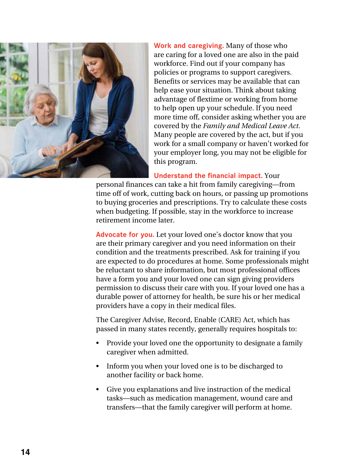

**Work and caregiving.** Many of those who are caring for a loved one are also in the paid workforce. Find out if your company has policies or programs to support caregivers. Benefits or services may be available that can help ease your situation. Think about taking advantage of flextime or working from home to help open up your schedule. If you need more time off, consider asking whether you are covered by the *Family and Medical Leave Act*. Many people are covered by the act, but if you work for a small company or haven't worked for your employer long, you may not be eligible for this program.

**Understand the financial impact.** Your

personal finances can take a hit from family caregiving—from time off of work, cutting back on hours, or passing up promotions to buying groceries and prescriptions. Try to calculate these costs when budgeting. If possible, stay in the workforce to increase retirement income later.

**Advocate for you.** Let your loved one's doctor know that you are their primary caregiver and you need information on their condition and the treatments prescribed. Ask for training if you are expected to do procedures at home. Some professionals might be reluctant to share information, but most professional offices have a form you and your loved one can sign giving providers permission to discuss their care with you. If your loved one has a durable power of attorney for health, be sure his or her medical providers have a copy in their medical files.

The Caregiver Advise, Record, Enable (CARE) Act, which has passed in many states recently, generally requires hospitals to:

- Provide your loved one the opportunity to designate a family caregiver when admitted.
- Inform you when your loved one is to be discharged to another facility or back home.
- Give you explanations and live instruction of the medical tasks—such as medication management, wound care and transfers—that the family caregiver will perform at home.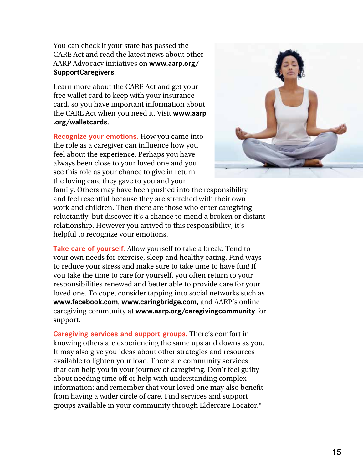You can check if your state has passed the CARE Act and read the latest news about other AARP Advocacy initiatives on **[www.aarp.org/](http://www.aarp.org/SupportCaregivers) [SupportCaregivers](http://www.aarp.org/SupportCaregivers)**.

Learn more about the CARE Act and get your free wallet card to keep with your insurance card, so you have important information about the CARE Act when you need it. Visit **[www.aarp](http://www.aarp.org/walletcards) [.org/walletcards](http://www.aarp.org/walletcards)**.

**Recognize your emotions.** How you came into the role as a caregiver can influence how you feel about the experience. Perhaps you have always been close to your loved one and you see this role as your chance to give in return the loving care they gave to you and your



family. Others may have been pushed into the responsibility and feel resentful because they are stretched with their own work and children. Then there are those who enter caregiving reluctantly, but discover it's a chance to mend a broken or distant relationship. However you arrived to this responsibility, it's helpful to recognize your emotions.

**Take care of yourself.** Allow yourself to take a break. Tend to your own needs for exercise, sleep and healthy eating. Find ways to reduce your stress and make sure to take time to have fun! If you take the time to care for yourself, you often return to your responsibilities renewed and better able to provide care for your loved one. To cope, consider tapping into social networks such as **[www.facebook.com](http://www.facebook.com)**, **[www.caringbridge.com](http://www.caringbridge.com)**, and AARP's online caregiving community at **[www.aarp.org/caregivingcommunity](http://www.aarp.org/caregivingcommunity)** for support.

**Caregiving services and support groups.** There's comfort in knowing others are experiencing the same ups and downs as you. It may also give you ideas about other strategies and resources available to lighten your load. There are community services that can help you in your journey of caregiving. Don't feel guilty about needing time off or help with understanding complex information; and remember that your loved one may also benefit from having a wider circle of care. Find services and support groups available in your community through Eldercare Locator.\*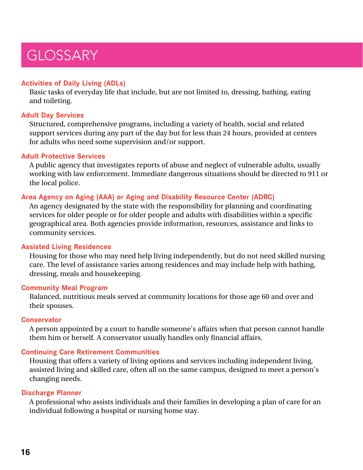## <span id="page-15-0"></span>**GLOSSARY**

#### **Activities of Daily Living (ADLs)**

Basic tasks of everyday life that include, but are not limited to, dressing, bathing, eating and toileting.

#### **Adult Day Services**

Structured, comprehensive programs, including a variety of health, social and related support services during any part of the day but for less than 24 hours, provided at centers for adults who need some supervision and/or support.

#### **Adult Protective Services**

A public agency that investigates reports of abuse and neglect of vulnerable adults, usually working with law enforcement. Immediate dangerous situations should be directed to 911 or the local police.

#### **Area Agency on Aging (AAA) or Aging and Disability Resource Center (ADRC)**

An agency designated by the state with the responsibility for planning and coordinating services for older people or for older people and adults with disabilities within a specific geographical area. Both agencies provide information, resources, assistance and links to community services.

#### **Assisted Living Residences**

Housing for those who may need help living independently, but do not need skilled nursing care. The level of assistance varies among residences and may include help with bathing, dressing, meals and housekeeping.

#### **Community Meal Program**

Balanced, nutritious meals served at community locations for those age 60 and over and their spouses.

#### **Conservator**

A person appointed by a court to handle someone's affairs when that person cannot handle them him or herself. A conservator usually handles only financial affairs.

#### **Continuing Care Retirement Communities**

Housing that offers a variety of living options and services including independent living, assisted living and skilled care, often all on the same campus, designed to meet a person's changing needs.

#### **Discharge Planner**

A professional who assists individuals and their families in developing a plan of care for an individual following a hospital or nursing home stay.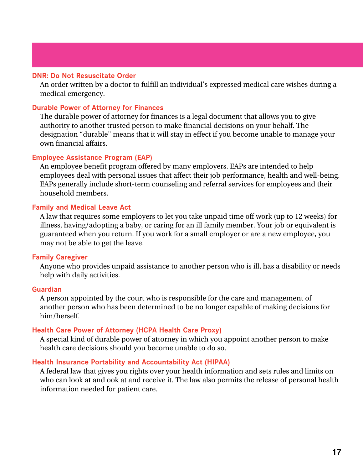#### **DNR: Do Not Resuscitate Order**

An order written by a doctor to fulfill an individual's expressed medical care wishes during a medical emergency.

#### **Durable Power of Attorney for Finances**

The durable power of attorney for finances is a legal document that allows you to give authority to another trusted person to make financial decisions on your behalf. The designation "durable" means that it will stay in effect if you become unable to manage your own financial affairs.

#### **Employee Assistance Program (EAP)**

An employee benefit program offered by many employers. EAPs are intended to help employees deal with personal issues that affect their job performance, health and well-being. EAPs generally include short-term counseling and referral services for employees and their household members.

#### **Family and Medical Leave Act**

A law that requires some employers to let you take unpaid time off work (up to 12 weeks) for illness, having/adopting a baby, or caring for an ill family member. Your job or equivalent is guaranteed when you return. If you work for a small employer or are a new employee, you may not be able to get the leave.

#### **Family Caregiver**

Anyone who provides unpaid assistance to another person who is ill, has a disability or needs help with daily activities.

#### **Guardian**

A person appointed by the court who is responsible for the care and management of another person who has been determined to be no longer capable of making decisions for him/herself.

#### **Health Care Power of Attorney (HCPA Health Care Proxy)**

A special kind of durable power of attorney in which you appoint another person to make health care decisions should you become unable to do so.

#### **Health Insurance Portability and Accountability Act (HIPAA)**

A federal law that gives you rights over your health information and sets rules and limits on who can look at and ook at and receive it. The law also permits the release of personal health information needed for patient care.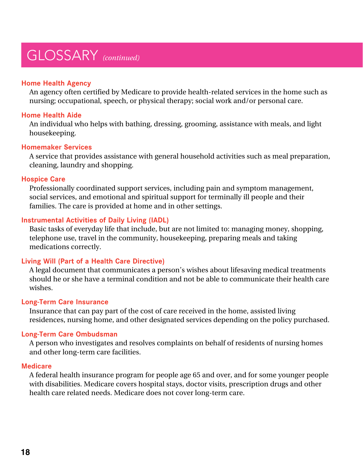## GLOSSARY *(continued)*

#### **Home Health Agency**

An agency often certified by Medicare to provide health-related services in the home such as nursing; occupational, speech, or physical therapy; social work and/or personal care.

#### **Home Health Aide**

An individual who helps with bathing, dressing, grooming, assistance with meals, and light housekeeping.

#### **Homemaker Services**

A service that provides assistance with general household activities such as meal preparation, cleaning, laundry and shopping.

#### **Hospice Care**

Professionally coordinated support services, including pain and symptom management, social services, and emotional and spiritual support for terminally ill people and their families. The care is provided at home and in other settings.

#### **Instrumental Activities of Daily Living (IADL)**

Basic tasks of everyday life that include, but are not limited to: managing money, shopping, telephone use, travel in the community, housekeeping, preparing meals and taking medications correctly.

#### **Living Will (Part of a Health Care Directive)**

A legal document that communicates a person's wishes about lifesaving medical treatments should he or she have a terminal condition and not be able to communicate their health care wishes.

#### **Long-Term Care Insurance**

Insurance that can pay part of the cost of care received in the home, assisted living residences, nursing home, and other designated services depending on the policy purchased.

#### **Long-Term Care Ombudsman**

A person who investigates and resolves complaints on behalf of residents of nursing homes and other long-term care facilities.

#### **Medicare**

A federal health insurance program for people age 65 and over, and for some younger people with disabilities. Medicare covers hospital stays, doctor visits, prescription drugs and other health care related needs. Medicare does not cover long-term care.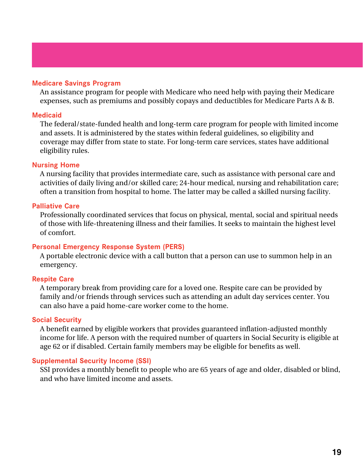#### <span id="page-18-0"></span>**Medicare Savings Program**

An assistance program for people with Medicare who need help with paying their Medicare expenses, such as premiums and possibly copays and deductibles for Medicare Parts A & B.

#### **Medicaid**

The federal/state-funded health and long-term care program for people with limited income and assets. It is administered by the states within federal guidelines, so eligibility and coverage may differ from state to state. For long-term care services, states have additional eligibility rules.

#### **Nursing Home**

A nursing facility that provides intermediate care, such as assistance with personal care and activities of daily living and/or skilled care; 24-hour medical, nursing and rehabilitation care; often a transition from hospital to home. The latter may be called a skilled nursing facility.

#### **Palliative Care**

Professionally coordinated services that focus on physical, mental, social and spiritual needs of those with life-threatening illness and their families. It seeks to maintain the highest level of comfort.

#### **Personal Emergency Response System (PERS)**

A portable electronic device with a call button that a person can use to summon help in an emergency.

#### **Respite Care**

A temporary break from providing care for a loved one. Respite care can be provided by family and/or friends through services such as attending an adult day services center. You can also have a paid home-care worker come to the home.

#### **Social Security**

A benefit earned by eligible workers that provides guaranteed inflation-adjusted monthly income for life. A person with the required number of quarters in Social Security is eligible at age 62 or if disabled. Certain family members may be eligible for benefits as well.

#### **Supplemental Security Income (SSI)**

SSI provides a monthly benefit to people who are 65 years of age and older, disabled or blind, and who have limited income and assets.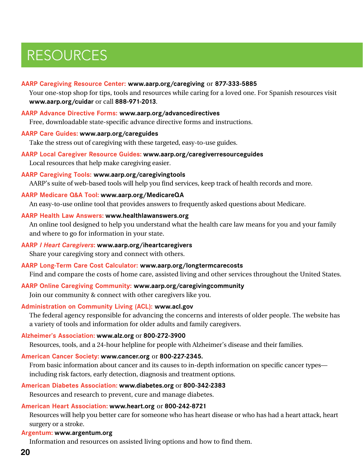## <span id="page-19-0"></span>RESOURCES

**AARP Caregiving Resource Center: <www.aarp.org/caregiving>** or **877-333-5885**

Your one-stop shop for tips, tools and resources while caring for a loved one. For Spanish resources visit **[www.aarp.org/cuidar](http://www.aarp.org/cuidar)** or call **888-971-2013**.

#### **AARP Advance Directive Forms: <www.aarp.org/advancedirectives>**

Free, downloadable state-specific advance directive forms and instructions.

#### **AARP Care Guides: [www.aarp.org/careguides](http://www.aarp.org/careguides)**

Take the stress out of caregiving with these targeted, easy-to-use guides.

**AARP Local Caregiver Resource Guides: [www.aarp.org/caregiverresourceguides](http://www.aarp.org/caregiverresourceguides)** Local resources that help make caregiving easier.

#### **AARP Caregiving Tools: [www.aarp.org/caregivingtools](http://www.aarp.org/caregivingtools)**

AARP's suite of web-based tools will help you find services, keep track of health records and more.

#### **AARP Medicare Q&A Tool: [www.aarp.org/MedicareQA](http://www.aarp.org/MedicareQA)**

An easy-to-use online tool that provides answers to frequently asked questions about Medicare.

#### **AARP Health Law Answers: [www.healthlawanswers.org](http://www.healthlawanswers.org)**

An online tool designed to help you understand what the health care law means for you and your family and where to go for information in your state.

#### **AARP** *I Heart Caregivers***: [www.aarp.org/iheartcaregivers](http://www.aarp.org/iheartcaregivers)**

Share your caregiving story and connect with others.

#### **AARP Long-Term Care Cost Calculator:<www.aarp.org/longtermcarecosts>** Find and compare the costs of home care, assisted living and other services throughout the United States.

#### **AARP Online Caregiving Community: [www.aarp.org/caregivingcommunity](http://www.aarp.org/caregivingcommunity)**

Join our community & connect with other caregivers like you.

#### **Administration on Community Living (ACL): [www.acl.gov](http://www.acl.gov)**

The federal agency responsible for advancing the concerns and interests of older people. The website has a variety of tools and information for older adults and family caregivers.

#### **Alzheimer's Association: <www.alz.org>** or **800-272-3900**

Resources, tools, and a 24-hour helpline for people with Alzheimer's disease and their families.

#### **American Cancer Society: [www.cancer.org](http://www.cancer.org)** or **800-227-2345.**

From basic information about cancer and its causes to in-depth information on specific cancer types including risk factors, early detection, diagnosis and treatment options.

#### **American Diabetes Association: [www.diabetes.org](http://www.diabetes.org)** or **800-342-2383**

Resources and research to prevent, cure and manage diabetes.

#### **American Heart Association: [www.heart.org](http://www.heart.org)** or **800-242-8721**

Resources will help you better care for someone who has heart disease or who has had a heart attack, heart surgery or a stroke.

#### **Argentum: [www.argentum.org](http://www.argentum.org)**

Information and resources on assisted living options and how to find them.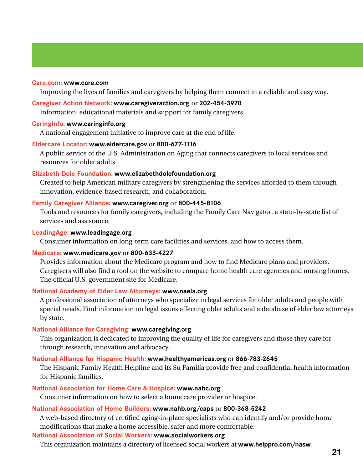#### **[Care.com](http://Care.com): [www.care.com](http://www.care.com)**

Improving the lives of families and caregivers by helping them connect in a reliable and easy way.

#### **Caregiver Action Network: [www.caregiveraction.org](http://www.caregiveraction.org)** or **202-454-3970**

Information, educational materials and support for family caregivers.

#### **CaringInfo: <www.caringinfo.org>**

A national engagement initiative to improve care at the end of life.

#### **Eldercare Locator: <www.eldercare.gov>** or **800-677-1116**

A public service of the U.S. Administration on Aging that connects caregivers to local services and resources for older adults.

#### **Elizabeth Dole Foundation: [www.elizabethdolefoundation.org](http://www.elizabethdolefoundation.org)**

Created to help American military caregivers by strengthening the services afforded to them through innovation, evidence-based research, and collaboration.

#### **Family Caregiver Alliance: <www.caregiver.org>** or **800-445-8106**

Tools and resources for family caregivers, including the Family Care Navigator, a state-by-state list of services and assistance.

#### **LeadingAge: <www.leadingage.org>**

Consumer information on long-term care facilities and services, and how to access them.

#### **Medicare: [www.medicare.gov](http://www.medicare.gov)** or **800-633-4227**

Provides information about the Medicare program and how to find Medicare plans and providers. Caregivers will also find a tool on the website to compare home health care agencies and nursing homes. The official U.S. government site for Medicare.

#### **National Academy of Elder Law Attorneys: [www.naela.org](http://www.naela.org)**

A professional association of attorneys who specialize in legal services for older adults and people with special needs. Find information on legal issues affecting older adults and a database of elder law attorneys by state.

#### **National Alliance for Caregiving: <www.caregiving.org>**

This organization is dedicated to improving the quality of life for caregivers and those they care for through research, innovation and advocacy.

#### **National Alliance for Hispanic Health: [www.healthyamericas.org](http://www.healthyamericas.org)** or **866-783-2645**

The Hispanic Family Health Helpline and its Su Familia provide free and confidential health information for Hispanic families.

#### **National Association for Home Care & Hospice: [www.nahc.org](http://www.nahc.org)**

Consumer information on how to select a home care provider or hospice.

#### **National Association of Home Builders: [www.nahb.org/caps](http://www.nahb.org/caps)** or **800-368-5242**

A web-based directory of certified aging-in-place specialists who can identify and/or provide home modifications that make a home accessible, safer and more comfortable.

#### **National Association of Social Workers: <www.socialworkers.org>**

This organization maintains a directory of licensed social workers at **[www.helppro.com/nasw](http://www.helppro.com/nasw)**.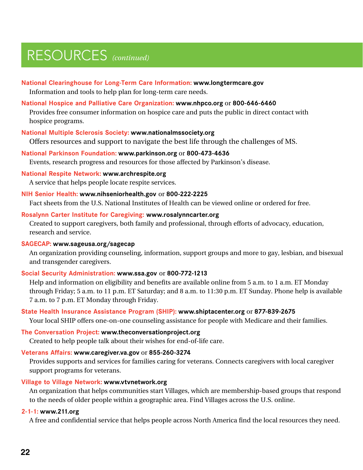## RESOURCES *(continued)*

- **National Clearinghouse for Long-Term Care Information: [www.longtermcare.gov](http://www.longtermcare.gov)** Information and tools to help plan for long-term care needs.
- **National Hospice and Palliative Care Organization: <www.nhpco.org>** or **800-646-6460**

Provides free consumer information on hospice care and puts the public in direct contact with hospice programs.

#### **National Multiple Sclerosis Society: [www.nationalmssociety.org](http://www.nationalmssociety.org)**

Offers resources and support to navigate the best life through the challenges of MS.

- **National Parkinson Foundation: [www.parkinson.org](http://www.parkinson.org)** or **800-473-4636** Events, research progress and resources for those affected by Parkinson's disease.
- **National Respite Network: [www.archrespite.org](http://www.archrespite.org)**

A service that helps people locate respite services.

**NIH Senior Health: <www.nihseniorhealth.gov>**or **800-222-2225**

Fact sheets from the U.S. National Institutes of Health can be viewed online or ordered for free.

#### **Rosalynn Carter Institute for Caregiving: [www.rosalynncarter.org](http://www.rosalynncarter.org)**

Created to support caregivers, both family and professional, through efforts of advocacy, education, research and service.

#### **SAGECAP: <www.sageusa.org/sagecap>**

An organization providing counseling, information, support groups and more to gay, lesbian, and bisexual and transgender caregivers.

#### **Social Security Administration: <www.ssa.gov>**or **800-772-1213**

Help and information on eligibility and benefits are available online from 5 a.m. to 1 a.m. ET Monday through Friday; 5 a.m. to 11 p.m. ET Saturday; and 8 a.m. to 11:30 p.m. ET Sunday. Phone help is available 7 a.m. to 7 p.m. ET Monday through Friday.

#### **State Health Insurance Assistance Program (SHIP): [www.shiptacenter.org](http://www.shiptacenter.org)** or **877-839-2675**

Your local SHIP offers one-on-one counseling assistance for people with Medicare and their families.

#### **The Conversation Project: [www.theconversationproject.org](http://www.theconversationproject.org)**

Created to help people talk about their wishes for end-of-life care.

#### **Veterans Affairs: [www.caregiver.va.gov](http://www.caregiver.va.gov)** or **855-260-3274**

Provides supports and services for families caring for veterans. Connects caregivers with local caregiver support programs for veterans.

#### **Village to Village Network: <www.vtvnetwork.org>**

An organization that helps communities start Villages, which are membership-based groups that respond to the needs of older people within a geographic area. Find Villages across the U.S. online.

#### **2-1-1: [www.211.org](http://www.211.org)**

A free and confidential service that helps people across North America find the local resources they need.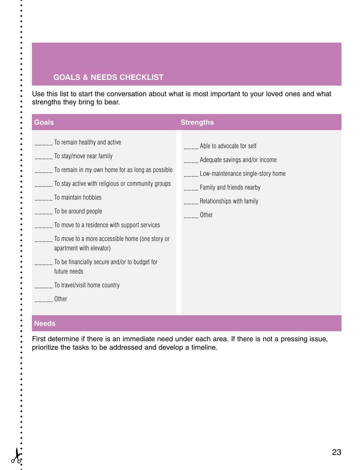### <span id="page-22-0"></span>**GOALS & NEEDS CHECKLIST**

Use this list to start the conversation about what is most important to your loved ones and what strengths they bring to bear.

|                                                                                                                                                                                                                                                                                                                                                                                                                                                                                          | <b>Strengths</b>                                                                                                                                                           |
|------------------------------------------------------------------------------------------------------------------------------------------------------------------------------------------------------------------------------------------------------------------------------------------------------------------------------------------------------------------------------------------------------------------------------------------------------------------------------------------|----------------------------------------------------------------------------------------------------------------------------------------------------------------------------|
| To remain healthy and active<br>. To stay/move near family<br>___ To remain in my own home for as long as possible<br>___ To stay active with religious or community groups<br>__ To maintain hobbies<br>____ To be around people<br>To move to a residence with support services<br>$\frac{1}{2}$ To move to a more accessible home (one story or<br>apartment with elevator)<br>To be financially secure and/or to budget for<br>future needs<br>To travel/visit home country<br>Other | Able to advocate for self<br>___ Adequate savings and/or income<br>__ Low-maintenance single-story home<br>Family and friends nearby<br>Relationships with family<br>Other |

First determine if there is an immediate need under each area. If there is not a pressing issue, prioritize the tasks to be addressed and develop a timeline.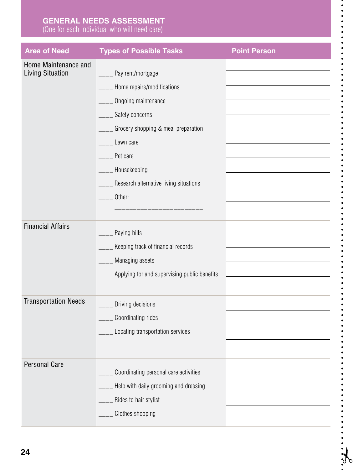#### <span id="page-23-0"></span>**GENERAL NEEDS ASSESSMENT**

(One for each individual who will need care)

| <b>Area of Need</b>                      | <b>Types of Possible Tasks</b>                                                                                                                                                                                                                                                                             | <b>Point Person</b> |
|------------------------------------------|------------------------------------------------------------------------------------------------------------------------------------------------------------------------------------------------------------------------------------------------------------------------------------------------------------|---------------------|
| Home Maintenance and<br>Living Situation | ____ Pay rent/mortgage<br>$\frac{1}{2}$ Home repairs/modifications<br>____ Ongoing maintenance<br>____ Safety concerns<br>____ Grocery shopping & meal preparation<br>$\frac{1}{1}$ Lawn care<br>____ Pet care<br>____ Housekeeping<br>____ Research alternative living situations<br>$\frac{1}{2}$ Other: |                     |
| <b>Financial Affairs</b>                 | ____ Paying bills<br>____ Keeping track of financial records<br>____ Managing assets<br>$\frac{1}{2}$ Applying for and supervising public benefits                                                                                                                                                         |                     |
| <b>Transportation Needs</b>              | $\frac{1}{1}$ Driving decisions<br>____ Coordinating rides<br>____ Locating transportation services                                                                                                                                                                                                        |                     |
| <b>Personal Care</b>                     | ____ Coordinating personal care activities<br>____ Help with daily grooming and dressing<br>____ Rides to hair stylist<br>____ Clothes shopping                                                                                                                                                            |                     |

 $\sigma_{c}$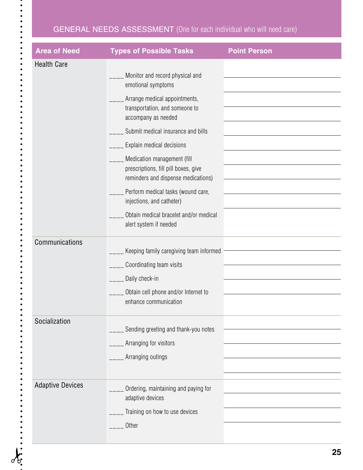### GENERAL NEEDS ASSESSMENT (One for each individual who will need care)

| <b>Area of Need</b>     | <b>Types of Possible Tasks</b>                                              | <b>Point Person</b> |
|-------------------------|-----------------------------------------------------------------------------|---------------------|
| <b>Health Care</b>      |                                                                             |                     |
|                         | Monitor and record physical and                                             |                     |
|                         | emotional symptoms                                                          |                     |
|                         | Arrange medical appointments,                                               |                     |
|                         | transportation, and someone to<br>accompany as needed                       |                     |
|                         | Submit medical insurance and bills                                          |                     |
|                         | ___ Explain medical decisions                                               |                     |
|                         | Medication management (fill                                                 |                     |
|                         | prescriptions, fill pill boxes, give<br>reminders and dispense medications) |                     |
|                         | Perform medical tasks (wound care,                                          |                     |
|                         | injections, and catheter)                                                   |                     |
|                         | Obtain medical bracelet and/or medical                                      |                     |
|                         | alert system if needed                                                      |                     |
| Communications          |                                                                             |                     |
|                         | Keeping family caregiving team informed                                     |                     |
|                         | Coordinating team visits                                                    |                     |
|                         | ___ Daily check-in                                                          |                     |
|                         | Obtain cell phone and/or Internet to                                        |                     |
|                         | enhance communication                                                       |                     |
| Socialization           |                                                                             |                     |
|                         | ___ Sending greeting and thank-you notes                                    |                     |
|                         | ____ Arranging for visitors                                                 |                     |
|                         | ____ Arranging outings                                                      |                     |
|                         |                                                                             |                     |
| <b>Adaptive Devices</b> | Ordering, maintaining and paying for                                        |                     |
|                         | adaptive devices                                                            |                     |
|                         | Training on how to use devices                                              |                     |
|                         | <b>Other</b>                                                                |                     |
|                         |                                                                             |                     |

Q β.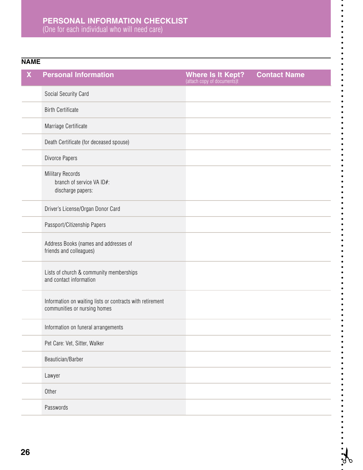#### **PERSONAL INFORMATION CHECKLIST**

(One for each individual who will need care)

#### **NAME**

| $\mathbf X$ | <b>Personal Information</b>                                                               | <b>Where Is It Kept?</b><br>(attach copy of documents)t | <b>Contact Name</b> |
|-------------|-------------------------------------------------------------------------------------------|---------------------------------------------------------|---------------------|
|             | Social Security Card                                                                      |                                                         |                     |
|             | <b>Birth Certificate</b>                                                                  |                                                         |                     |
|             | Marriage Certificate                                                                      |                                                         |                     |
|             | Death Certificate (for deceased spouse)                                                   |                                                         |                     |
|             | Divorce Papers                                                                            |                                                         |                     |
|             | <b>Military Records</b><br>branch of service VA ID#:<br>discharge papers:                 |                                                         |                     |
|             | Driver's License/Organ Donor Card                                                         |                                                         |                     |
|             | Passport/Citizenship Papers                                                               |                                                         |                     |
|             | Address Books (names and addresses of<br>friends and colleagues)                          |                                                         |                     |
|             | Lists of church & community memberships<br>and contact information                        |                                                         |                     |
|             | Information on waiting lists or contracts with retirement<br>communities or nursing homes |                                                         |                     |
|             | Information on funeral arrangements                                                       |                                                         |                     |
|             | Pet Care: Vet, Sitter, Walker                                                             |                                                         |                     |
|             | Beautician/Barber                                                                         |                                                         |                     |
|             | Lawyer                                                                                    |                                                         |                     |
|             | Other                                                                                     |                                                         |                     |
|             | Passwords                                                                                 |                                                         |                     |

 $\mathcal{F}_{\mathcal{E}}$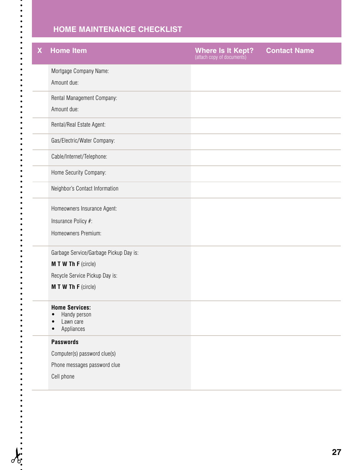## **HOME MAINTENANCE CHECKLIST**

 $\alpha$ 

| X | <b>Home Item</b>                                                 | <b>Where Is It Kept?</b><br>(attach copy of documents) | <b>Contact Name</b> |
|---|------------------------------------------------------------------|--------------------------------------------------------|---------------------|
|   | Mortgage Company Name:                                           |                                                        |                     |
|   | Amount due:                                                      |                                                        |                     |
|   | Rental Management Company:                                       |                                                        |                     |
|   | Amount due:                                                      |                                                        |                     |
|   | Rental/Real Estate Agent:                                        |                                                        |                     |
|   | Gas/Electric/Water Company:                                      |                                                        |                     |
|   | Cable/Internet/Telephone:                                        |                                                        |                     |
|   | Home Security Company:                                           |                                                        |                     |
|   | Neighbor's Contact Information                                   |                                                        |                     |
|   | Homeowners Insurance Agent:                                      |                                                        |                     |
|   | Insurance Policy #:                                              |                                                        |                     |
|   | Homeowners Premium:                                              |                                                        |                     |
|   | Garbage Service/Garbage Pickup Day is:                           |                                                        |                     |
|   | M T W Th F (circle)                                              |                                                        |                     |
|   | Recycle Service Pickup Day is:                                   |                                                        |                     |
|   | M T W Th F (circle)                                              |                                                        |                     |
|   | <b>Home Services:</b><br>Handy person<br>Lawn care<br>Appliances |                                                        |                     |
|   | <b>Passwords</b>                                                 |                                                        |                     |
|   | Computer(s) password clue(s)                                     |                                                        |                     |
|   | Phone messages password clue                                     |                                                        |                     |
|   | Cell phone                                                       |                                                        |                     |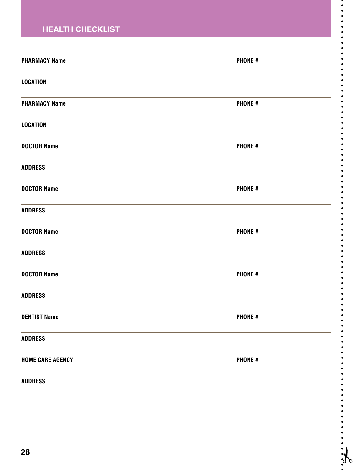## **HEALTH CHECKLIST**

| <b>PHARMACY Name</b>    | <b>PHONE#</b> |
|-------------------------|---------------|
| <b>LOCATION</b>         |               |
| <b>PHARMACY Name</b>    | <b>PHONE#</b> |
| <b>LOCATION</b>         |               |
| <b>DOCTOR Name</b>      | <b>PHONE#</b> |
| <b>ADDRESS</b>          |               |
| <b>DOCTOR Name</b>      | <b>PHONE#</b> |
| <b>ADDRESS</b>          |               |
| <b>DOCTOR Name</b>      | <b>PHONE#</b> |
| <b>ADDRESS</b>          |               |
| <b>DOCTOR Name</b>      | <b>PHONE#</b> |
| <b>ADDRESS</b>          |               |
| <b>DENTIST Name</b>     | <b>PHONE#</b> |
| <b>ADDRESS</b>          |               |
| <b>HOME CARE AGENCY</b> | <b>PHONE#</b> |
| <b>ADDRESS</b>          |               |

 $\mathcal{F}_{\mathcal{E}}$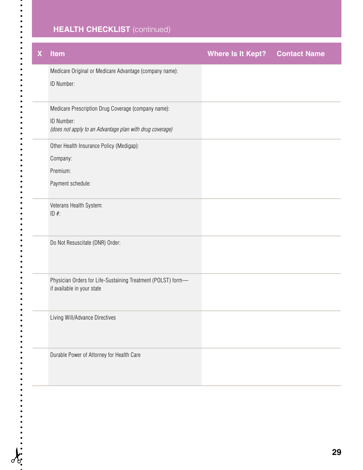### **HEALTH CHECKLIST** (continued)

 $\alpha$ 

| X | Item                                                                                       | Where Is It Kept? | <b>Contact Name</b> |
|---|--------------------------------------------------------------------------------------------|-------------------|---------------------|
|   | Medicare Original or Medicare Advantage (company name):<br>ID Number:                      |                   |                     |
|   |                                                                                            |                   |                     |
|   | Medicare Prescription Drug Coverage (company name):                                        |                   |                     |
|   | ID Number:<br>(does not apply to an Advantage plan with drug coverage)                     |                   |                     |
|   | Other Health Insurance Policy (Medigap):                                                   |                   |                     |
|   | Company:                                                                                   |                   |                     |
|   | Premium:                                                                                   |                   |                     |
|   | Payment schedule:                                                                          |                   |                     |
|   | Veterans Health System:<br>ID $#$ :                                                        |                   |                     |
|   | Do Not Resuscitate (DNR) Order:                                                            |                   |                     |
|   | Physician Orders for Life-Sustaining Treatment (POLST) form-<br>if available in your state |                   |                     |
|   | Living Will/Advance Directives                                                             |                   |                     |
|   | Durable Power of Attorney for Health Care                                                  |                   |                     |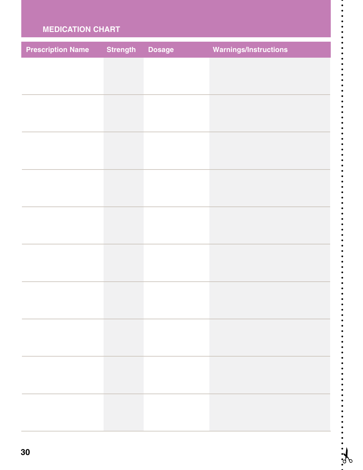## **MEDICATION CHART**

| <b>Prescription Name</b> | <b>Strength</b> | <b>Dosage</b> | <b>Warnings/Instructions</b> |
|--------------------------|-----------------|---------------|------------------------------|
|                          |                 |               |                              |
|                          |                 |               |                              |
|                          |                 |               |                              |
|                          |                 |               |                              |
|                          |                 |               |                              |
|                          |                 |               |                              |
|                          |                 |               |                              |
|                          |                 |               |                              |
|                          |                 |               |                              |
|                          |                 |               |                              |
|                          |                 |               |                              |
|                          |                 |               |                              |
|                          |                 |               |                              |
|                          |                 |               |                              |
|                          |                 |               |                              |
|                          |                 |               |                              |
|                          |                 |               |                              |
|                          |                 |               |                              |
|                          |                 |               |                              |
|                          |                 |               |                              |
|                          |                 |               |                              |
|                          |                 |               |                              |

 $\mathcal{E}$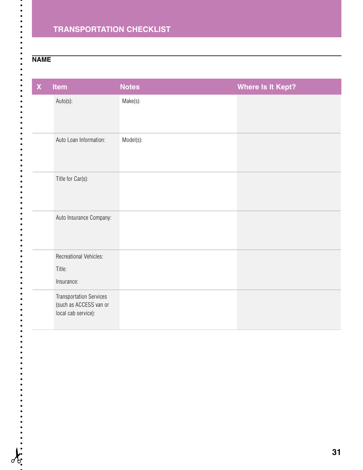### **TRANSPORTATION CHECKLIST**

#### **NAME**

 $\alpha$ 

| X | <b>Item</b>                                                                     | <b>Notes</b> | <b>Where Is It Kept?</b> |
|---|---------------------------------------------------------------------------------|--------------|--------------------------|
|   | Auto(s):                                                                        | Make(s):     |                          |
|   | Auto Loan Information:                                                          | Model(s):    |                          |
|   | Title for Car(s):                                                               |              |                          |
|   | Auto Insurance Company:                                                         |              |                          |
|   | Recreational Vehicles:                                                          |              |                          |
|   | Title:                                                                          |              |                          |
|   | Insurance:                                                                      |              |                          |
|   | <b>Transportation Services</b><br>(such as ACCESS van or<br>local cab service): |              |                          |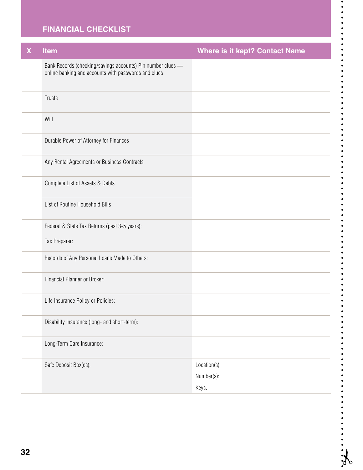### **FINANCIAL CHECKLIST**

| X | <b>Item</b>                                                                                                         | <b>Where is it kept? Contact Name</b> |
|---|---------------------------------------------------------------------------------------------------------------------|---------------------------------------|
|   | Bank Records (checking/savings accounts) Pin number clues -<br>online banking and accounts with passwords and clues |                                       |
|   | Trusts                                                                                                              |                                       |
|   | Will                                                                                                                |                                       |
|   | Durable Power of Attorney for Finances                                                                              |                                       |
|   | Any Rental Agreements or Business Contracts                                                                         |                                       |
|   | Complete List of Assets & Debts                                                                                     |                                       |
|   | List of Routine Household Bills                                                                                     |                                       |
|   | Federal & State Tax Returns (past 3-5 years):                                                                       |                                       |
|   | Tax Preparer:                                                                                                       |                                       |
|   | Records of Any Personal Loans Made to Others:                                                                       |                                       |
|   | Financial Planner or Broker:                                                                                        |                                       |
|   | Life Insurance Policy or Policies:                                                                                  |                                       |
|   | Disability Insurance (long- and short-term):                                                                        |                                       |
|   | Long-Term Care Insurance:                                                                                           |                                       |
|   | Safe Deposit Box(es):                                                                                               | Location(s):                          |
|   |                                                                                                                     | Number(s):                            |
|   |                                                                                                                     | Keys:                                 |

 $\mathcal{X}$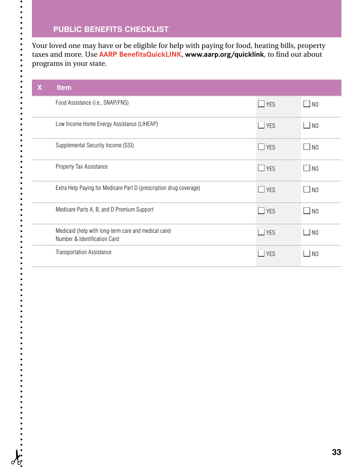### **PUBLIC BENEFITS CHECKLIST**

Your loved one may have or be eligible for help with paying for food, heating bills, property taxes and more. Use **AARP BenefitsQuickLINK**, **<www.aarp.org/quicklink>**, to find out about programs in your state.

| X | <b>Item</b>                                                                          |                    |                             |
|---|--------------------------------------------------------------------------------------|--------------------|-----------------------------|
|   | Food Assistance (i.e., SNAP/FNS)                                                     | $\Box$ YES         | $\Box$ NO                   |
|   | Low Income Home Energy Assistance (LIHEAP)                                           | <b>TYES</b>        | $\Box$ NO                   |
|   | Supplemental Security Income (SSI)                                                   | $\Box$ YES         | $\blacksquare$ NO           |
|   | Property Tax Assistance                                                              | $\blacksquare$ YES | $\blacksquare$ NO           |
|   | Extra Help Paying for Medicare Part D (prescription drug coverage)                   | <b>TYES</b>        | $\Box$ NO                   |
|   | Medicare Parts A, B, and D Premium Support                                           | <b>TYES</b>        | $\blacksquare$ NO           |
|   | Medicaid (help with long-term care and medical care)<br>Number & Identification Card | $\Box$ YES         | N <sub>0</sub>              |
|   | <b>Transportation Assistance</b>                                                     | <b>YES</b>         | $\overline{\phantom{0}}$ NO |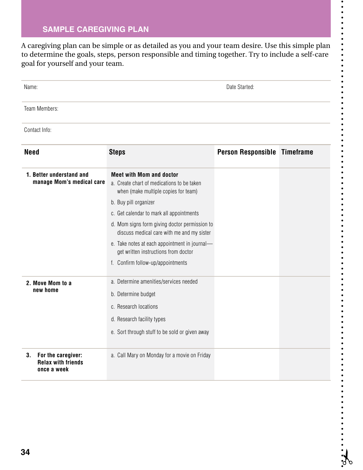#### **SAMPLE CAREGIVING PLAN**

<span id="page-33-0"></span>A caregiving plan can be simple or as detailed as you and your team desire. Use this simple plan to determine the goals, steps, person responsible and timing together. Try to include a self-care goal for yourself and your team.

| Name:         | Date Started: |
|---------------|---------------|
| Team Members: |               |

Contact Info:

| <b>Need</b>                                                          | <b>Steps</b>                                                                                                          | Person Responsible Timeframe |  |
|----------------------------------------------------------------------|-----------------------------------------------------------------------------------------------------------------------|------------------------------|--|
| 1. Better understand and<br>manage Mom's medical care                | <b>Meet with Mom and doctor</b><br>a. Create chart of medications to be taken<br>when (make multiple copies for team) |                              |  |
|                                                                      | b. Buy pill organizer                                                                                                 |                              |  |
|                                                                      | c. Get calendar to mark all appointments                                                                              |                              |  |
|                                                                      | d. Mom signs form giving doctor permission to<br>discuss medical care with me and my sister                           |                              |  |
|                                                                      | e. Take notes at each appointment in journal-<br>get written instructions from doctor                                 |                              |  |
|                                                                      | f. Confirm follow-up/appointments                                                                                     |                              |  |
| 2. Move Mom to a                                                     | a. Determine amenities/services needed                                                                                |                              |  |
| new home                                                             | b. Determine budget                                                                                                   |                              |  |
|                                                                      | c. Research locations                                                                                                 |                              |  |
|                                                                      | d. Research facility types                                                                                            |                              |  |
|                                                                      | e. Sort through stuff to be sold or given away                                                                        |                              |  |
|                                                                      |                                                                                                                       |                              |  |
| 3.<br>For the caregiver:<br><b>Relax with friends</b><br>once a week | a. Call Mary on Monday for a movie on Friday                                                                          |                              |  |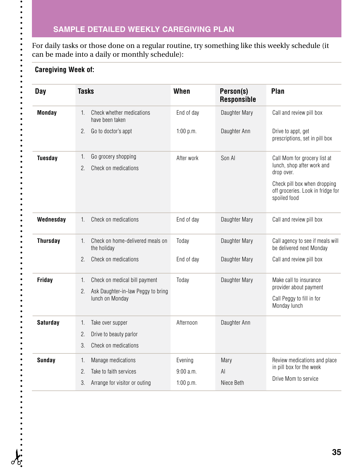### **SAMPLE DETAILED WEEKLY CAREGIVING PLAN**

For daily tasks or those done on a regular routine, try something like this weekly schedule (it can be made into a daily or monthly schedule):

#### **Caregiving Week of:**

| Day             | <b>Tasks</b>                                                   | <b>When</b> | Person(s)<br><b>Responsible</b> | Plan                                                                              |
|-----------------|----------------------------------------------------------------|-------------|---------------------------------|-----------------------------------------------------------------------------------|
| <b>Monday</b>   | Check whether medications<br>1.<br>have been taken             | End of day  | Daughter Mary                   | Call and review pill box                                                          |
|                 | 2.<br>Go to doctor's appt                                      | 1:00 p.m.   | Daughter Ann                    | Drive to appt, get<br>prescriptions, set in pill box                              |
| <b>Tuesday</b>  | Go grocery shopping<br>1.                                      | After work  | Son Al                          | Call Mom for grocery list at                                                      |
|                 | Check on medications<br>2.                                     |             |                                 | lunch, shop after work and<br>drop over.                                          |
|                 |                                                                |             |                                 | Check pill box when dropping<br>off groceries. Look in fridge for<br>spoiled food |
| Wednesday       | Check on medications<br>1.                                     | End of day  | Daughter Mary                   | Call and review pill box                                                          |
| <b>Thursday</b> | Check on home-delivered meals on<br>$1_{\cdot}$<br>the holiday | Today       | Daughter Mary                   | Call agency to see if meals will<br>be delivered next Monday                      |
|                 | Check on medications<br>2.                                     | End of day  | Daughter Mary                   | Call and review pill box                                                          |
| Friday          | Check on medical bill payment<br>1.                            | Today       | Daughter Mary                   | Make call to insurance                                                            |
|                 | Ask Daughter-in-law Peggy to bring<br>2.                       |             |                                 | provider about payment                                                            |
|                 | lunch on Monday                                                |             |                                 | Call Peggy to fill in for<br>Monday lunch                                         |
| <b>Saturday</b> | 1.<br>Take over supper                                         | Afternoon   | Daughter Ann                    |                                                                                   |
|                 | 2.<br>Drive to beauty parlor                                   |             |                                 |                                                                                   |
|                 | Check on medications<br>3.                                     |             |                                 |                                                                                   |
| <b>Sunday</b>   | Manage medications<br>1.                                       | Evening     | Mary                            | Review medications and place                                                      |
|                 | 2.<br>Take to faith services                                   | 9:00 a.m.   | AI                              | in pill box for the week                                                          |
|                 | 3.<br>Arrange for visitor or outing                            | 1:00 p.m.   | Niece Beth                      | Drive Mom to service                                                              |